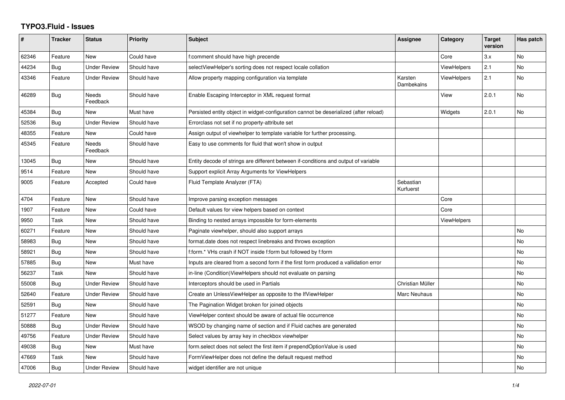## **TYPO3.Fluid - Issues**

| #     | <b>Tracker</b> | <b>Status</b>       | Priority    | Subject                                                                               | Assignee               | Category           | <b>Target</b><br>version | Has patch |
|-------|----------------|---------------------|-------------|---------------------------------------------------------------------------------------|------------------------|--------------------|--------------------------|-----------|
| 62346 | Feature        | New                 | Could have  | f:comment should have high precende                                                   |                        | Core               | 3.x                      | No        |
| 44234 | Bug            | <b>Under Review</b> | Should have | selectViewHelper's sorting does not respect locale collation                          |                        | <b>ViewHelpers</b> | 2.1                      | <b>No</b> |
| 43346 | Feature        | <b>Under Review</b> | Should have | Allow property mapping configuration via template                                     | Karsten<br>Dambekalns  | <b>ViewHelpers</b> | 2.1                      | No        |
| 46289 | Bug            | Needs<br>Feedback   | Should have | Enable Escaping Interceptor in XML request format                                     |                        | View               | 2.0.1                    | No        |
| 45384 | Bug            | New                 | Must have   | Persisted entity object in widget-configuration cannot be deserialized (after reload) |                        | Widgets            | 2.0.1                    | <b>No</b> |
| 52536 | Bug            | <b>Under Review</b> | Should have | Errorclass not set if no property-attribute set                                       |                        |                    |                          |           |
| 48355 | Feature        | New                 | Could have  | Assign output of viewhelper to template variable for further processing.              |                        |                    |                          |           |
| 45345 | Feature        | Needs<br>Feedback   | Should have | Easy to use comments for fluid that won't show in output                              |                        |                    |                          |           |
| 13045 | Bug            | New                 | Should have | Entity decode of strings are different between if-conditions and output of variable   |                        |                    |                          |           |
| 9514  | Feature        | New                 | Should have | Support explicit Array Arguments for ViewHelpers                                      |                        |                    |                          |           |
| 9005  | Feature        | Accepted            | Could have  | Fluid Template Analyzer (FTA)                                                         | Sebastian<br>Kurfuerst |                    |                          |           |
| 4704  | Feature        | <b>New</b>          | Should have | Improve parsing exception messages                                                    |                        | Core               |                          |           |
| 1907  | Feature        | New                 | Could have  | Default values for view helpers based on context                                      |                        | Core               |                          |           |
| 9950  | Task           | New                 | Should have | Binding to nested arrays impossible for form-elements                                 |                        | <b>ViewHelpers</b> |                          |           |
| 60271 | Feature        | New                 | Should have | Paginate viewhelper, should also support arrays                                       |                        |                    |                          | <b>No</b> |
| 58983 | <b>Bug</b>     | New                 | Should have | format.date does not respect linebreaks and throws exception                          |                        |                    |                          | No        |
| 58921 | <b>Bug</b>     | New                 | Should have | f:form.* VHs crash if NOT inside f:form but followed by f:form                        |                        |                    |                          | <b>No</b> |
| 57885 | Bug            | New                 | Must have   | Inputs are cleared from a second form if the first form produced a vallidation error  |                        |                    |                          | No        |
| 56237 | Task           | <b>New</b>          | Should have | in-line (Condition) View Helpers should not evaluate on parsing                       |                        |                    |                          | No        |
| 55008 | Bug            | <b>Under Review</b> | Should have | Interceptors should be used in Partials                                               | Christian Müller       |                    |                          | No        |
| 52640 | Feature        | <b>Under Review</b> | Should have | Create an UnlessViewHelper as opposite to the IfViewHelper                            | Marc Neuhaus           |                    |                          | No        |
| 52591 | <b>Bug</b>     | New                 | Should have | The Pagination Widget broken for joined objects                                       |                        |                    |                          | No        |
| 51277 | Feature        | <b>New</b>          | Should have | ViewHelper context should be aware of actual file occurrence                          |                        |                    |                          | No        |
| 50888 | Bug            | <b>Under Review</b> | Should have | WSOD by changing name of section and if Fluid caches are generated                    |                        |                    |                          | No.       |
| 49756 | Feature        | <b>Under Review</b> | Should have | Select values by array key in checkbox viewhelper                                     |                        |                    |                          | No        |
| 49038 | Bug            | New                 | Must have   | form.select does not select the first item if prependOptionValue is used              |                        |                    |                          | <b>No</b> |
| 47669 | Task           | New                 | Should have | FormViewHelper does not define the default request method                             |                        |                    |                          | No        |
| 47006 | <b>Bug</b>     | <b>Under Review</b> | Should have | widget identifier are not unique                                                      |                        |                    |                          | No        |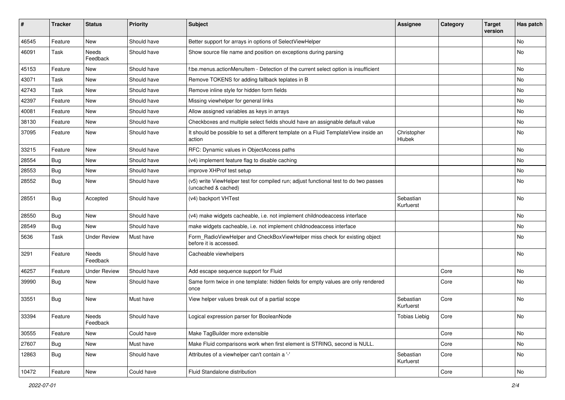| #     | <b>Tracker</b> | <b>Status</b>       | <b>Priority</b> | <b>Subject</b>                                                                                              | <b>Assignee</b>        | Category | <b>Target</b><br>version | Has patch |
|-------|----------------|---------------------|-----------------|-------------------------------------------------------------------------------------------------------------|------------------------|----------|--------------------------|-----------|
| 46545 | Feature        | New                 | Should have     | Better support for arrays in options of SelectViewHelper                                                    |                        |          |                          | <b>No</b> |
| 46091 | Task           | Needs<br>Feedback   | Should have     | Show source file name and position on exceptions during parsing                                             |                        |          |                          | No        |
| 45153 | Feature        | New                 | Should have     | f:be.menus.actionMenuItem - Detection of the current select option is insufficient                          |                        |          |                          | <b>No</b> |
| 43071 | Task           | New                 | Should have     | Remove TOKENS for adding fallback teplates in B                                                             |                        |          |                          | No        |
| 42743 | Task           | New                 | Should have     | Remove inline style for hidden form fields                                                                  |                        |          |                          | No        |
| 42397 | Feature        | New                 | Should have     | Missing viewhelper for general links                                                                        |                        |          |                          | No        |
| 40081 | Feature        | New                 | Should have     | Allow assigned variables as keys in arrays                                                                  |                        |          |                          | No        |
| 38130 | Feature        | New                 | Should have     | Checkboxes and multiple select fields should have an assignable default value                               |                        |          |                          | No        |
| 37095 | Feature        | New                 | Should have     | It should be possible to set a different template on a Fluid TemplateView inside an<br>action               | Christopher<br>Hlubek  |          |                          | No        |
| 33215 | Feature        | <b>New</b>          | Should have     | RFC: Dynamic values in ObjectAccess paths                                                                   |                        |          |                          | No        |
| 28554 | Bug            | New                 | Should have     | (v4) implement feature flag to disable caching                                                              |                        |          |                          | No        |
| 28553 | Bug            | <b>New</b>          | Should have     | improve XHProf test setup                                                                                   |                        |          |                          | <b>No</b> |
| 28552 | Bug            | New                 | Should have     | (v5) write ViewHelper test for compiled run; adjust functional test to do two passes<br>(uncached & cached) |                        |          |                          | No        |
| 28551 | Bug            | Accepted            | Should have     | (v4) backport VHTest                                                                                        | Sebastian<br>Kurfuerst |          |                          | No        |
| 28550 | Bug            | New                 | Should have     | (v4) make widgets cacheable, i.e. not implement childnodeaccess interface                                   |                        |          |                          | No        |
| 28549 | Bug            | New                 | Should have     | make widgets cacheable, i.e. not implement childnodeaccess interface                                        |                        |          |                          | No        |
| 5636  | Task           | <b>Under Review</b> | Must have       | Form_RadioViewHelper and CheckBoxViewHelper miss check for existing object<br>before it is accessed.        |                        |          |                          | No        |
| 3291  | Feature        | Needs<br>Feedback   | Should have     | Cacheable viewhelpers                                                                                       |                        |          |                          | <b>No</b> |
| 46257 | Feature        | <b>Under Review</b> | Should have     | Add escape sequence support for Fluid                                                                       |                        | Core     |                          | No        |
| 39990 | Bug            | New                 | Should have     | Same form twice in one template: hidden fields for empty values are only rendered<br>once                   |                        | Core     |                          | No        |
| 33551 | <b>Bug</b>     | New                 | Must have       | View helper values break out of a partial scope                                                             | Sebastian<br>Kurfuerst | Core     |                          | <b>No</b> |
| 33394 | Feature        | Needs<br>Feedback   | Should have     | Logical expression parser for BooleanNode                                                                   | <b>Tobias Liebig</b>   | Core     |                          | No        |
| 30555 | Feature        | New                 | Could have      | Make TagBuilder more extensible                                                                             |                        | Core     |                          | No        |
| 27607 | <b>Bug</b>     | New                 | Must have       | Make Fluid comparisons work when first element is STRING, second is NULL.                                   |                        | Core     |                          | No        |
| 12863 | <b>Bug</b>     | New                 | Should have     | Attributes of a viewhelper can't contain a '-'                                                              | Sebastian<br>Kurfuerst | Core     |                          | No        |
| 10472 | Feature        | New                 | Could have      | Fluid Standalone distribution                                                                               |                        | Core     |                          | No        |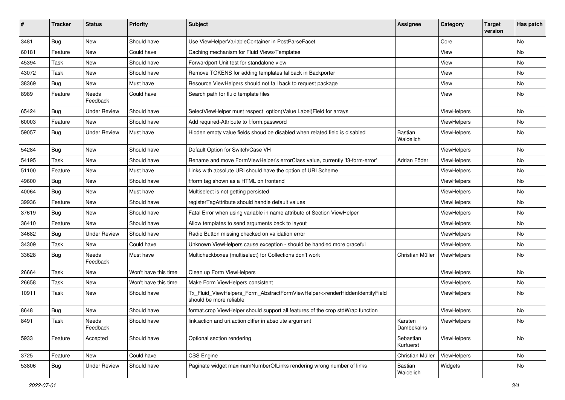| #     | Tracker    | <b>Status</b>       | <b>Priority</b>      | <b>Subject</b>                                                                                         | <b>Assignee</b>        | Category           | <b>Target</b><br>version | Has patch |
|-------|------------|---------------------|----------------------|--------------------------------------------------------------------------------------------------------|------------------------|--------------------|--------------------------|-----------|
| 3481  | <b>Bug</b> | New                 | Should have          | Use ViewHelperVariableContainer in PostParseFacet                                                      |                        | Core               |                          | <b>No</b> |
| 60181 | Feature    | New                 | Could have           | Caching mechanism for Fluid Views/Templates                                                            |                        | View               |                          | No        |
| 45394 | Task       | New                 | Should have          | Forwardport Unit test for standalone view                                                              |                        | View               |                          | No        |
| 43072 | Task       | New                 | Should have          | Remove TOKENS for adding templates fallback in Backporter                                              |                        | View               |                          | No        |
| 38369 | <b>Bug</b> | New                 | Must have            | Resource ViewHelpers should not fall back to request package                                           |                        | View               |                          | No        |
| 8989  | Feature    | Needs<br>Feedback   | Could have           | Search path for fluid template files                                                                   |                        | View               |                          | No        |
| 65424 | <b>Bug</b> | Under Review        | Should have          | SelectViewHelper must respect option(Value Label)Field for arrays                                      |                        | ViewHelpers        |                          | <b>No</b> |
| 60003 | Feature    | New                 | Should have          | Add required-Attribute to f:form.password                                                              |                        | ViewHelpers        |                          | No        |
| 59057 | Bug        | Under Review        | Must have            | Hidden empty value fields shoud be disabled when related field is disabled                             | Bastian<br>Waidelich   | ViewHelpers        |                          | No        |
| 54284 | <b>Bug</b> | New                 | Should have          | Default Option for Switch/Case VH                                                                      |                        | ViewHelpers        |                          | No        |
| 54195 | Task       | New                 | Should have          | Rename and move FormViewHelper's errorClass value, currently 'f3-form-error'                           | Adrian Föder           | ViewHelpers        |                          | No        |
| 51100 | Feature    | New                 | Must have            | Links with absolute URI should have the option of URI Scheme                                           |                        | ViewHelpers        |                          | No        |
| 49600 | Bug        | New                 | Should have          | f:form tag shown as a HTML on frontend                                                                 |                        | ViewHelpers        |                          | No        |
| 40064 | Bug        | New                 | Must have            | Multiselect is not getting persisted                                                                   |                        | ViewHelpers        |                          | No        |
| 39936 | Feature    | New                 | Should have          | registerTagAttribute should handle default values                                                      |                        | ViewHelpers        |                          | No        |
| 37619 | Bug        | New                 | Should have          | Fatal Error when using variable in name attribute of Section ViewHelper                                |                        | ViewHelpers        |                          | No        |
| 36410 | Feature    | New                 | Should have          | Allow templates to send arguments back to layout                                                       |                        | ViewHelpers        |                          | No        |
| 34682 | Bug        | <b>Under Review</b> | Should have          | Radio Button missing checked on validation error                                                       |                        | ViewHelpers        |                          | No        |
| 34309 | Task       | New                 | Could have           | Unknown ViewHelpers cause exception - should be handled more graceful                                  |                        | ViewHelpers        |                          | No        |
| 33628 | Bug        | Needs<br>Feedback   | Must have            | Multicheckboxes (multiselect) for Collections don't work                                               | Christian Müller       | ViewHelpers        |                          | No        |
| 26664 | Task       | New                 | Won't have this time | Clean up Form ViewHelpers                                                                              |                        | ViewHelpers        |                          | No        |
| 26658 | Task       | New                 | Won't have this time | Make Form ViewHelpers consistent                                                                       |                        | <b>ViewHelpers</b> |                          | No        |
| 10911 | Task       | New                 | Should have          | Tx_Fluid_ViewHelpers_Form_AbstractFormViewHelper->renderHiddenIdentityField<br>should be more reliable |                        | ViewHelpers        |                          | No        |
| 8648  | <b>Bug</b> | New                 | Should have          | format.crop ViewHelper should support all features of the crop stdWrap function                        |                        | ViewHelpers        |                          | No        |
| 8491  | Task       | Needs<br>Feedback   | Should have          | link.action and uri.action differ in absolute argument                                                 | Karsten<br>Dambekalns  | ViewHelpers        |                          | No.       |
| 5933  | Feature    | Accepted            | Should have          | Optional section rendering                                                                             | Sebastian<br>Kurfuerst | ViewHelpers        |                          | No        |
| 3725  | Feature    | New                 | Could have           | CSS Engine                                                                                             | Christian Müller       | ViewHelpers        |                          | No        |
| 53806 | <b>Bug</b> | <b>Under Review</b> | Should have          | Paginate widget maximumNumberOfLinks rendering wrong number of links                                   | Bastian<br>Waidelich   | Widgets            |                          | No        |